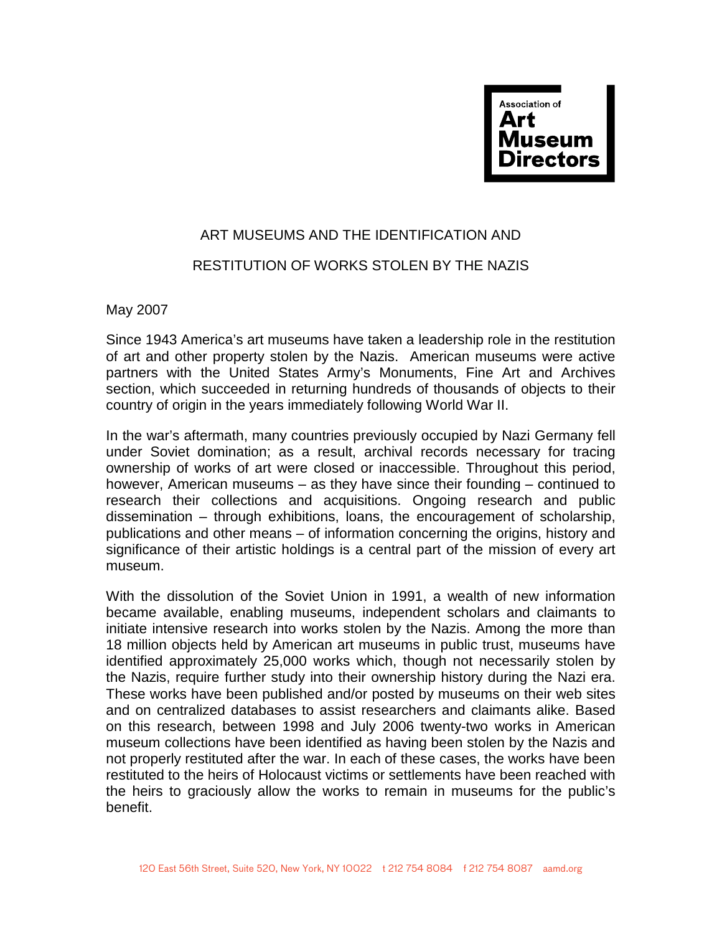

## ART MUSEUMS AND THE IDENTIFICATION AND RESTITUTION OF WORKS STOLEN BY THE NAZIS

May 2007

Since 1943 America's art museums have taken a leadership role in the restitution of art and other property stolen by the Nazis. American museums were active partners with the United States Army's Monuments, Fine Art and Archives section, which succeeded in returning hundreds of thousands of objects to their country of origin in the years immediately following World War II.

In the war's aftermath, many countries previously occupied by Nazi Germany fell under Soviet domination; as a result, archival records necessary for tracing ownership of works of art were closed or inaccessible. Throughout this period, however, American museums – as they have since their founding – continued to research their collections and acquisitions. Ongoing research and public dissemination – through exhibitions, loans, the encouragement of scholarship, publications and other means – of information concerning the origins, history and significance of their artistic holdings is a central part of the mission of every art museum.

With the dissolution of the Soviet Union in 1991, a wealth of new information became available, enabling museums, independent scholars and claimants to initiate intensive research into works stolen by the Nazis. Among the more than 18 million objects held by American art museums in public trust, museums have identified approximately 25,000 works which, though not necessarily stolen by the Nazis, require further study into their ownership history during the Nazi era. These works have been published and/or posted by museums on their web sites and on centralized databases to assist researchers and claimants alike. Based on this research, between 1998 and July 2006 twenty-two works in American museum collections have been identified as having been stolen by the Nazis and not properly restituted after the war. In each of these cases, the works have been restituted to the heirs of Holocaust victims or settlements have been reached with the heirs to graciously allow the works to remain in museums for the public's benefit.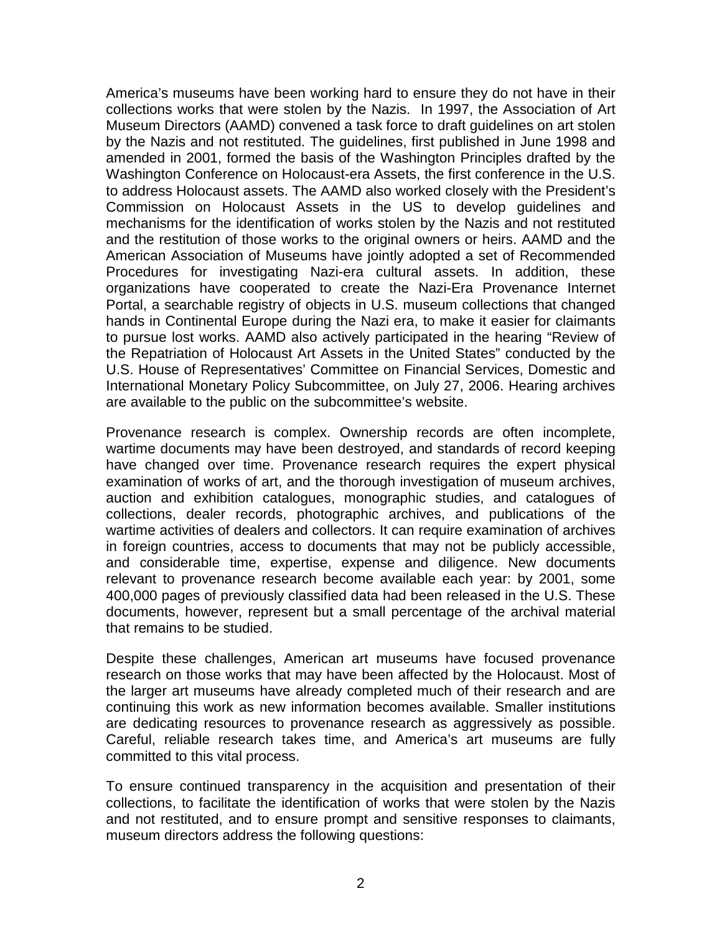America's museums have been working hard to ensure they do not have in their collections works that were stolen by the Nazis. In 1997, the Association of Art Museum Directors (AAMD) convened a task force to draft guidelines on art stolen by the Nazis and not restituted. The guidelines, first published in June 1998 and amended in 2001, formed the basis of the Washington Principles drafted by the Washington Conference on Holocaust-era Assets, the first conference in the U.S. to address Holocaust assets. The AAMD also worked closely with the President's Commission on Holocaust Assets in the US to develop guidelines and mechanisms for the identification of works stolen by the Nazis and not restituted and the restitution of those works to the original owners or heirs. AAMD and the American Association of Museums have jointly adopted a set of Recommended Procedures for investigating Nazi-era cultural assets. In addition, these organizations have cooperated to create the Nazi-Era Provenance Internet Portal, a searchable registry of objects in U.S. museum collections that changed hands in Continental Europe during the Nazi era, to make it easier for claimants to pursue lost works. AAMD also actively participated in the hearing "Review of the Repatriation of Holocaust Art Assets in the United States" conducted by the U.S. House of Representatives' Committee on Financial Services, Domestic and International Monetary Policy Subcommittee, on July 27, 2006. Hearing archives are available to the public on the subcommittee's website.

Provenance research is complex. Ownership records are often incomplete, wartime documents may have been destroyed, and standards of record keeping have changed over time. Provenance research requires the expert physical examination of works of art, and the thorough investigation of museum archives, auction and exhibition catalogues, monographic studies, and catalogues of collections, dealer records, photographic archives, and publications of the wartime activities of dealers and collectors. It can require examination of archives in foreign countries, access to documents that may not be publicly accessible, and considerable time, expertise, expense and diligence. New documents relevant to provenance research become available each year: by 2001, some 400,000 pages of previously classified data had been released in the U.S. These documents, however, represent but a small percentage of the archival material that remains to be studied.

Despite these challenges, American art museums have focused provenance research on those works that may have been affected by the Holocaust. Most of the larger art museums have already completed much of their research and are continuing this work as new information becomes available. Smaller institutions are dedicating resources to provenance research as aggressively as possible. Careful, reliable research takes time, and America's art museums are fully committed to this vital process.

To ensure continued transparency in the acquisition and presentation of their collections, to facilitate the identification of works that were stolen by the Nazis and not restituted, and to ensure prompt and sensitive responses to claimants, museum directors address the following questions: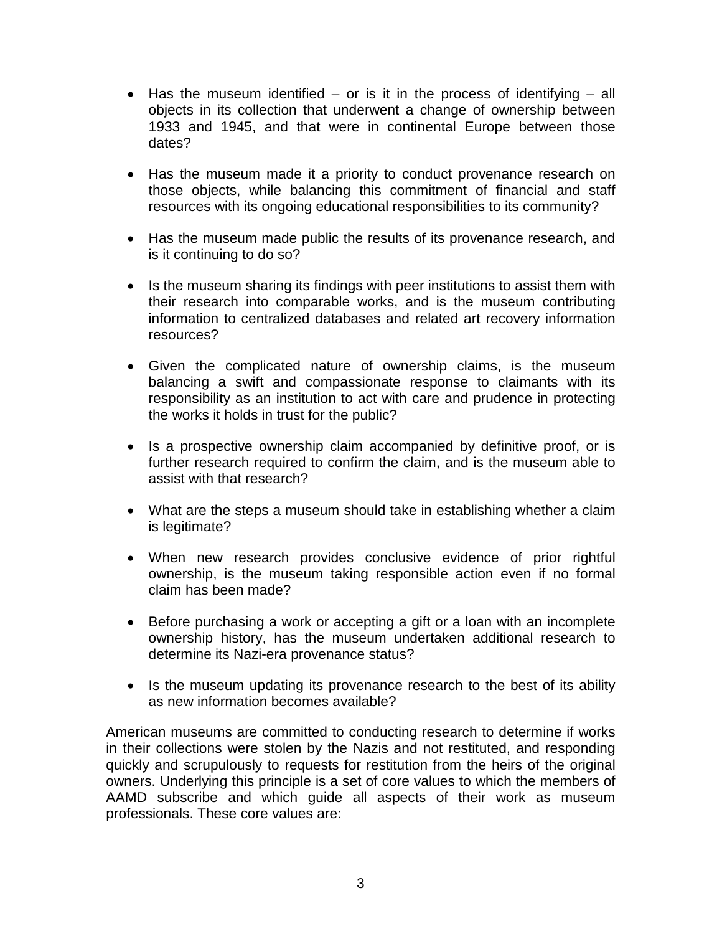- Has the museum identified  $-$  or is it in the process of identifying  $-$  all objects in its collection that underwent a change of ownership between 1933 and 1945, and that were in continental Europe between those dates?
- Has the museum made it a priority to conduct provenance research on those objects, while balancing this commitment of financial and staff resources with its ongoing educational responsibilities to its community?
- Has the museum made public the results of its provenance research, and is it continuing to do so?
- Is the museum sharing its findings with peer institutions to assist them with their research into comparable works, and is the museum contributing information to centralized databases and related art recovery information resources?
- Given the complicated nature of ownership claims, is the museum balancing a swift and compassionate response to claimants with its responsibility as an institution to act with care and prudence in protecting the works it holds in trust for the public?
- Is a prospective ownership claim accompanied by definitive proof, or is further research required to confirm the claim, and is the museum able to assist with that research?
- What are the steps a museum should take in establishing whether a claim is legitimate?
- When new research provides conclusive evidence of prior rightful ownership, is the museum taking responsible action even if no formal claim has been made?
- Before purchasing a work or accepting a gift or a loan with an incomplete ownership history, has the museum undertaken additional research to determine its Nazi-era provenance status?
- Is the museum updating its provenance research to the best of its ability as new information becomes available?

American museums are committed to conducting research to determine if works in their collections were stolen by the Nazis and not restituted, and responding quickly and scrupulously to requests for restitution from the heirs of the original owners. Underlying this principle is a set of core values to which the members of AAMD subscribe and which guide all aspects of their work as museum professionals. These core values are: